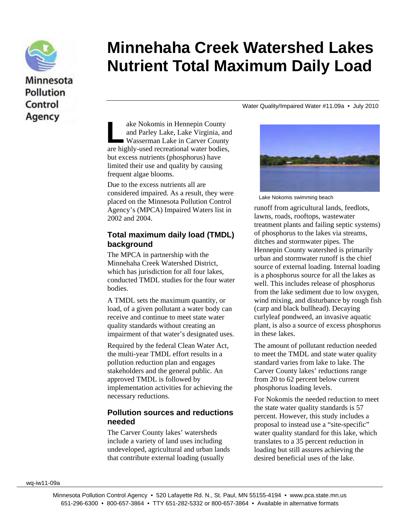

# Minnesota **Pollution** Control Agency

# **Minnehaha Creek Watershed Lakes Nutrient Total Maximum Daily Load**

Water Quality/Impaired Water #11.09a • July 2010

ake Nokomis in Hennepin County and Parley Lake, Lake Virginia, and Wasserman Lake in Carver County ake Nokomis in Hennepin County<br>and Parley Lake, Lake Virginia, and<br>Wasserman Lake in Carver County<br>are highly-used recreational water bodies, but excess nutrients (phosphorus) have limited their use and quality by causing frequent algae blooms.

Due to the excess nutrients all are considered impaired. As a result, they were placed on the Minnesota Pollution Control Agency's (MPCA) Impaired Waters list in 2002 and 2004.

#### **Total maximum daily load (TMDL) background**

The MPCA in partnership with the Minnehaha Creek Watershed District, which has jurisdiction for all four lakes. conducted TMDL studies for the four water bodies.

A TMDL sets the maximum quantity, or load, of a given pollutant a water body can receive and continue to meet state water quality standards without creating an impairment of that water's designated uses.

Required by the federal Clean Water Act, the multi-year TMDL effort results in a pollution reduction plan and engages stakeholders and the general public. An approved TMDL is followed by implementation activities for achieving the necessary reductions.

#### **Pollution sources and reductions needed**

The Carver County lakes' watersheds include a variety of land uses including undeveloped, agricultural and urban lands that contribute external loading (usually



Lake Nokomis swimming beach

runoff from agricultural lands, feedlots, lawns, roads, rooftops, wastewater treatment plants and failing septic systems) of phosphorus to the lakes via streams, ditches and stormwater pipes. The Hennepin County watershed is primarily urban and stormwater runoff is the chief source of external loading. Internal loading is a phosphorus source for all the lakes as well. This includes release of phosphorus from the lake sediment due to low oxygen, wind mixing, and disturbance by rough fish (carp and black bullhead). Decaying curlyleaf pondweed, an invasive aquatic plant, is also a source of excess phosphorus in these lakes.

The amount of pollutant reduction needed to meet the TMDL and state water quality standard varies from lake to lake. The Carver County lakes' reductions range from 20 to 62 percent below current phosphorus loading levels.

For Nokomis the needed reduction to meet the state water quality standards is 57 percent. However, this study includes a proposal to instead use a "site-specific" water quality standard for this lake, which translates to a 35 percent reduction in loading but still assures achieving the desired beneficial uses of the lake.